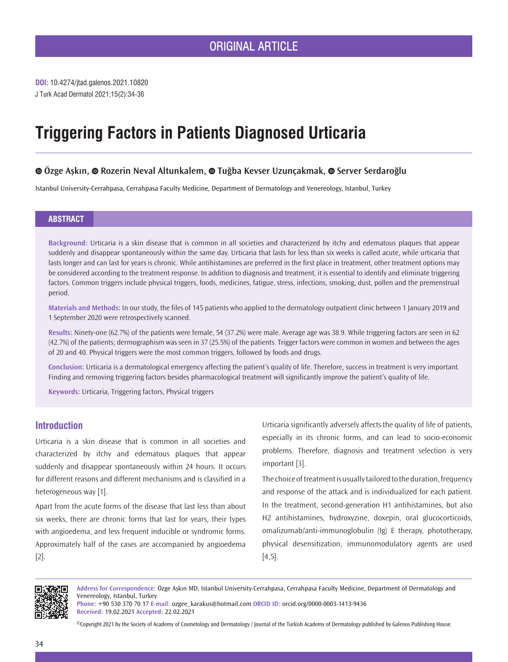**DOI:** 10.4274/jtad.galenos.2021.10820 J Turk Acad Dermatol 2021;15(2):34-36

# **Triggering Factors in Patients Diagnosed Urticaria**

# **Özge Aşkın,Rozerin Neval Altunkalem,Tuğba Kevser Uzunçakmak,Server Serdaroğlu**

Istanbul University-Cerrahpasa, Cerrahpasa Faculty Medicine, Department of Dermatology and Venereology, Istanbul, Turkey

### **ABSTRACT**

**Background:** Urticaria is a skin disease that is common in all societies and characterized by itchy and edematous plaques that appear suddenly and disappear spontaneously within the same day. Urticaria that lasts for less than six weeks is called acute, while urticaria that lasts longer and can last for years is chronic. While antihistamines are preferred in the first place in treatment, other treatment options may be considered according to the treatment response. In addition to diagnosis and treatment, it is essential to identify and eliminate triggering factors. Common triggers include physical triggers, foods, medicines, fatigue, stress, infections, smoking, dust, pollen and the premenstrual period.

**Materials and Methods:** In our study, the files of 145 patients who applied to the dermatology outpatient clinic between 1 January 2019 and 1 September 2020 were retrospectively scanned.

**Results:** Ninety-one (62.7%) of the patients were female, 54 (37.2%) were male. Average age was 38.9. While triggering factors are seen in 62 (42.7%) of the patients; dermographism was seen in 37 (25.5%) of the patients. Trigger factors were common in women and between the ages of 20 and 40. Physical triggers were the most common triggers, followed by foods and drugs.

**Conclusion:** Urticaria is a dermatological emergency affecting the patient's quality of life. Therefore, success in treatment is very important. Finding and removing triggering factors besides pharmacological treatment will significantly improve the patient's quality of life.

**Keywords:** Urticaria, Triggering factors, Physical triggers

## **Introduction**

Urticaria is a skin disease that is common in all societies and characterized by itchy and edematous plaques that appear suddenly and disappear spontaneously within 24 hours. It occurs for different reasons and different mechanisms and is classified in a heterogeneous way [1].

Apart from the acute forms of the disease that last less than about six weeks, there are chronic forms that last for years, their types with angioedema, and less frequent inducible or syndromic forms. Approximately half of the cases are accompanied by angioedema [2].

Urticaria significantly adversely affects the quality of life of patients, especially in its chronic forms, and can lead to socio-economic problems. Therefore, diagnosis and treatment selection is very important [3].

The choice of treatment is usually tailored to the duration, frequency and response of the attack and is individualized for each patient. In the treatment, second-generation H1 antihistamines, but also H2 antihistamines, hydroxyzine, doxepin, oral glucocorticoids, omalizumab/anti-immunoglobulin (Ig) E therapy, phototherapy, physical desensitization, immunomodulatory agents are used [4,5].



**Address for Correspondence:** Özge Aşkın MD, Istanbul University-Cerrahpasa, Cerrahpasa Faculty Medicine, Department of Dermatology and Venereology, Istanbul, Turkey

**Phone:** +90 530 370 70 17 **E-mail:** ozgee\_karakus@hotmail.com **ORCID ID:** orcid.org/0000-0003-1413-9436 **Received:** 19.02.2021 **Accepted:** 22.02.2021

©Copyright 2021 by the Society of Academy of Cosmetology and Dermatology / Journal of the Turkish Academy of Dermatology published by Galenos Publishing House.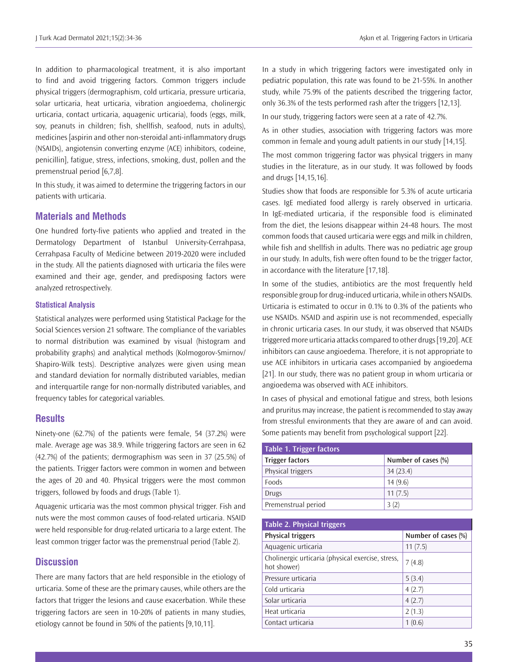In addition to pharmacological treatment, it is also important to find and avoid triggering factors. Common triggers include physical triggers (dermographism, cold urticaria, pressure urticaria, solar urticaria, heat urticaria, vibration angioedema, cholinergic urticaria, contact urticaria, aquagenic urticaria), foods (eggs, milk, soy, peanuts in children; fish, shellfish, seafood, nuts in adults), medicines [aspirin and other non-steroidal anti-inflammatory drugs (NSAIDs), angiotensin converting enzyme (ACE) inhibitors, codeine, penicillin], fatigue, stress, infections, smoking, dust, pollen and the premenstrual period [6,7,8].

In this study, it was aimed to determine the triggering factors in our patients with urticaria.

## **Materials and Methods**

One hundred forty-five patients who applied and treated in the Dermatology Department of Istanbul University-Cerrahpasa, Cerrahpasa Faculty of Medicine between 2019-2020 were included in the study. All the patients diagnosed with urticaria the files were examined and their age, gender, and predisposing factors were analyzed retrospectively.

### **Statistical Analysis**

Statistical analyzes were performed using Statistical Package for the Social Sciences version 21 software. The compliance of the variables to normal distribution was examined by visual (histogram and probability graphs) and analytical methods (Kolmogorov-Smirnov/ Shapiro-Wilk tests). Descriptive analyzes were given using mean and standard deviation for normally distributed variables, median and interquartile range for non-normally distributed variables, and frequency tables for categorical variables.

#### **Results**

Ninety-one (62.7%) of the patients were female, 54 (37.2%) were male. Average age was 38.9. While triggering factors are seen in 62 (42.7%) of the patients; dermographism was seen in 37 (25.5%) of the patients. Trigger factors were common in women and between the ages of 20 and 40. Physical triggers were the most common triggers, followed by foods and drugs (Table 1).

Aquagenic urticaria was the most common physical trigger. Fish and nuts were the most common causes of food-related urticaria. NSAID were held responsible for drug-related urticaria to a large extent. The least common trigger factor was the premenstrual period (Table 2).

## **Discussion**

There are many factors that are held responsible in the etiology of urticaria. Some of these are the primary causes, while others are the factors that trigger the lesions and cause exacerbation. While these triggering factors are seen in 10-20% of patients in many studies, etiology cannot be found in 50% of the patients [9,10,11].

In a study in which triggering factors were investigated only in pediatric population, this rate was found to be 21-55%. In another study, while 75.9% of the patients described the triggering factor, only 36.3% of the tests performed rash after the triggers [12,13].

In our study, triggering factors were seen at a rate of 42.7%.

As in other studies, association with triggering factors was more common in female and young adult patients in our study [14,15].

The most common triggering factor was physical triggers in many studies in the literature, as in our study. It was followed by foods and drugs [14,15,16].

Studies show that foods are responsible for 5.3% of acute urticaria cases. IgE mediated food allergy is rarely observed in urticaria. In IgE-mediated urticaria, if the responsible food is eliminated from the diet, the lesions disappear within 24-48 hours. The most common foods that caused urticaria were eggs and milk in children, while fish and shellfish in adults. There was no pediatric age group in our study. In adults, fish were often found to be the trigger factor, in accordance with the literature [17,18].

In some of the studies, antibiotics are the most frequently held responsible group for drug-induced urticaria, while in others NSAIDs. Urticaria is estimated to occur in 0.1% to 0.3% of the patients who use NSAIDs. NSAID and aspirin use is not recommended, especially in chronic urticaria cases. In our study, it was observed that NSAIDs triggered more urticaria attacks compared to other drugs [19,20]. ACE inhibitors can cause angioedema. Therefore, it is not appropriate to use ACE inhibitors in urticaria cases accompanied by angioedema [21]. In our study, there was no patient group in whom urticaria or angioedema was observed with ACE inhibitors.

In cases of physical and emotional fatigue and stress, both lesions and pruritus may increase, the patient is recommended to stay away from stressful environments that they are aware of and can avoid. Some patients may benefit from psychological support [22].

| <b>Table 1. Trigger factors</b> |                     |
|---------------------------------|---------------------|
| <b>Trigger factors</b>          | Number of cases (%) |
| Physical triggers               | 34(23.4)            |
| Foods                           | 14(9.6)             |
| <b>Drugs</b>                    | 11(7.5)             |
| Premenstrual period             | 3(2)                |

| Table 2. Physical triggers                                       |                     |
|------------------------------------------------------------------|---------------------|
| <b>Physical triggers</b>                                         | Number of cases (%) |
| Aquagenic urticaria                                              | 11(7.5)             |
| Cholinergic urticaria (physical exercise, stress,<br>hot shower) | 7(4.8)              |
| Pressure urticaria                                               | 5(3.4)              |
| Cold urticaria                                                   | 4(2.7)              |
| Solar urticaria                                                  | 4(2.7)              |
| Heat urticaria                                                   | 2(1.3)              |
| Contact urticaria                                                | 1(0.6)              |